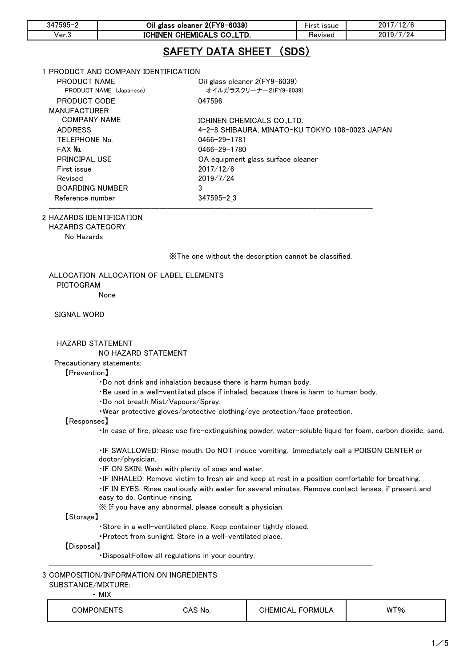| $347595 - 2$                      | Oil glass cleaner 2(FY9-6039)                              |                                                | First issue | 2017/12/6 |
|-----------------------------------|------------------------------------------------------------|------------------------------------------------|-------------|-----------|
| Ver.3                             |                                                            | ICHINEN CHEMICALS CO.,LTD.                     | Revised     | 2019/7/24 |
|                                   |                                                            | SAFETY DATA SHEET (SDS)                        |             |           |
|                                   | 1 PRODUCT AND COMPANY IDENTIFICATION.                      |                                                |             |           |
| <b>PRODUCT NAME</b>               |                                                            | Oil glass cleaner 2(FY9-6039)                  |             |           |
|                                   | PRODUCT NAME (Japanese)                                    | オイルガラスクリーナー2(FY9-6039)                         |             |           |
| PRODUCT CODE<br>047596            |                                                            |                                                |             |           |
| <b>MANUFACTURER</b>               |                                                            |                                                |             |           |
|                                   | <b>COMPANY NAME</b><br>ICHINEN CHEMICALS CO.,LTD.          |                                                |             |           |
| <b>ADDRESS</b>                    |                                                            | 4-2-8 SHIBAURA. MINATO-KU TOKYO 108-0023 JAPAN |             |           |
| <b>TELEPHONE No.</b>              |                                                            | 0466-29-1781                                   |             |           |
| FAX No.                           | 0466-29-1780                                               |                                                |             |           |
|                                   | <b>PRINCIPAL USE</b><br>OA equipment glass surface cleaner |                                                |             |           |
| First issue                       |                                                            | 2017/12/6                                      |             |           |
| Revised                           |                                                            | 2019/7/24                                      |             |           |
| 3<br><b>BOARDING NUMBER</b>       |                                                            |                                                |             |           |
| $347595 - 23$<br>Reference number |                                                            |                                                |             |           |
|                                   |                                                            |                                                |             |           |

#### 2 HAZARDS IDENTIFICATION

HAZARDS CATEGORY

No Hazards

※The one without the description cannot be classified.

# ALLOCATION ALLOCATION OF LABEL ELEMENTS PICTOGRAM

None

### SIGNAL WORD

## HAZARD STATEMENT

## NO HAZARD STATEMENT

## Precautionary statements:

#### 【Prevention】

- ・Do not drink and inhalation because there is harm human body.
- ・Be used in a well-ventilated place if inhaled, because there is harm to human body.
- ・Do not breath Mist/Vapours/Spray.
- ・Wear protective gloves/protective clothing/eye protection/face protection.

### 【Responses】

・In case of fire, please use fire-extinguishing powder, water-soluble liquid for foam, carbon dioxide, sand.

・IF SWALLOWED: Rinse mouth. Do NOT induce vomiting. Immediately call a POISON CENTER or doctor/physician.

・IF ON SKIN: Wash with plenty of soap and water.

・IF INHALED: Remove victim to fresh air and keep at rest in a position comfortable for breathing.

・IF IN EYES: Rinse cautiously with water for several minutes. Remove contact lenses, if present and easy to do. Continue rinsing.

※ If you have any abnormal, please consult a physician.

## 【Storage】

・Store in a well-ventilated place. Keep container tightly closed.

―――――――――――――――――――――――――――――――――――――――――

・Protect from sunlight. Store in a well-ventilated place.

## 【Disposal】

・Disposal:Follow all regulations in your country.

### 3 COMPOSITION/INFORMATION ON INGREDIENTS SUBSTANCE/MIXTURE:

## ・ MIX

| <b>INFNIS</b><br>)MPI | $\cdot$ $\sim$<br>.No | JRM'<br>∴Α'<br>∙Ml\<br>- | -%<br><b>W</b> |
|-----------------------|-----------------------|--------------------------|----------------|
|                       |                       |                          |                |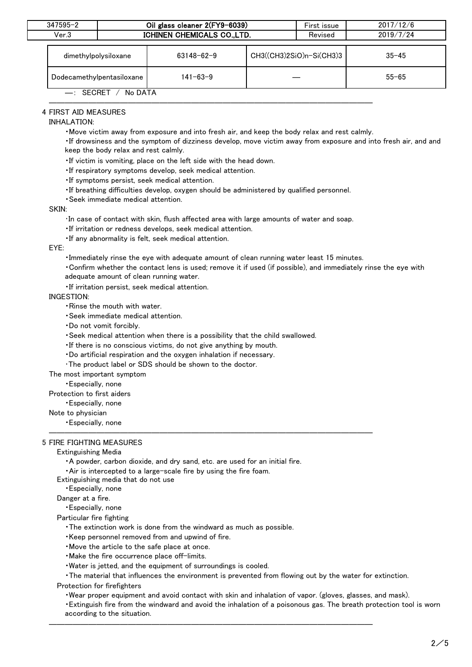| $347595 - 2$              | Oil glass cleaner 2(FY9-6039) |                  |  | First issue              | 2017/12/6 |  |
|---------------------------|-------------------------------|------------------|--|--------------------------|-----------|--|
| Ver.3                     | ICHINEN CHEMICALS CO., LTD.   |                  |  | Revised                  | 2019/7/24 |  |
|                           | dimethylpolysiloxane          | $63148 - 62 - 9$ |  | CH3((CH3)2SiO)n-Si(CH3)3 | $35 - 45$ |  |
| Dodecamethylpentasiloxane |                               | 141-63-9         |  |                          | $55 - 65$ |  |
| No DATA<br>$-$ : SECRET   |                               |                  |  |                          |           |  |

## 4 FIRST AID MEASURES

#### INHALATION:

・Move victim away from exposure and into fresh air, and keep the body relax and rest calmly.

―――――――――――――――――――――――――――――――――――――――――

・If drowsiness and the symptom of dizziness develop, move victim away from exposure and into fresh air, and and keep the body relax and rest calmly.

- ・If victim is vomiting, place on the left side with the head down.
- ・If respiratory symptoms develop, seek medical attention.
- ・If symptoms persist, seek medical attention.
- ・If breathing difficulties develop, oxygen should be administered by qualified personnel.
- ・Seek immediate medical attention.

#### SKIN:

・In case of contact with skin, flush affected area with large amounts of water and soap.

・If irritation or redness develops, seek medical attention.

・If any abnormality is felt, seek medical attention.

#### EYE:

・Immediately rinse the eye with adequate amount of clean running water least 15 minutes.

- ・Confirm whether the contact lens is used; remove it if used (if possible), and immediately rinse the eye with adequate amount of clean running water.
- ・If irritation persist, seek medical attention.

### INGESTION:

- ・Rinse the mouth with water.
- ・Seek immediate medical attention.
- ・Do not vomit forcibly.
- ・Seek medical attention when there is a possibility that the child swallowed.
- ・If there is no conscious victims, do not give anything by mouth.
- ・Do artificial respiration and the oxygen inhalation if necessary.
- ・The product label or SDS should be shown to the doctor.

The most important symptom

- ・Especially, none
- Protection to first aiders
	- ・Especially, none
- Note to physician
- ――――――――――――――――――――――――――――――――――――――――― ・Especially, none

### 5 FIRE FIGHTING MEASURES

#### Extinguishing Media

・A powder, carbon dioxide, and dry sand, etc. are used for an initial fire.

・Air is intercepted to a large-scale fire by using the fire foam.

Extinguishing media that do not use

・Especially, none

## Danger at a fire.

・Especially, none

Particular fire fighting

- ・The extinction work is done from the windward as much as possible.
- ・Keep personnel removed from and upwind of fire.
- ・Move the article to the safe place at once.
- ・Make the fire occurrence place off-limits.
- ・Water is jetted, and the equipment of surroundings is cooled.

・The material that influences the environment is prevented from flowing out by the water for extinction.

―――――――――――――――――――――――――――――――――――――――――

Protection for firefighters

・Wear proper equipment and avoid contact with skin and inhalation of vapor. (gloves, glasses, and mask).

・Extinguish fire from the windward and avoid the inhalation of a poisonous gas. The breath protection tool is worn according to the situation.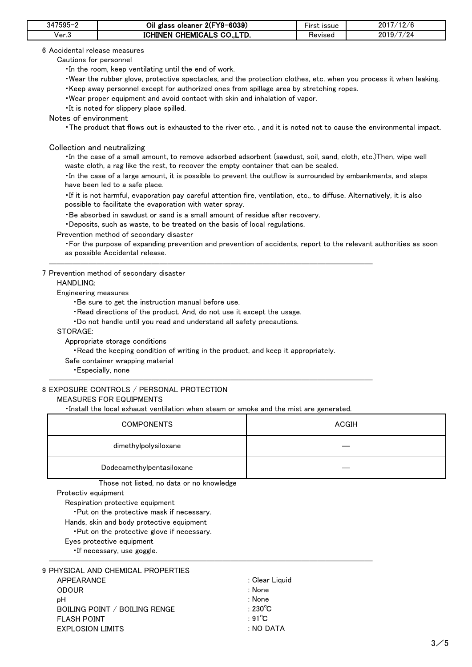| $347595 -$ | Oil glass cleaner 2(FY9-6039) | <b>issue</b><br>∙ırst | 7/12/6<br>2017 |
|------------|-------------------------------|-----------------------|----------------|
| Ver.3      | ICHINEN CHEMICALS CO., LTD.   | Revised               | 7/24<br>2019/  |

6 Accidental release measures

Cautions for personnel

・In the room, keep ventilating until the end of work.

・Wear the rubber glove, protective spectacles, and the protection clothes, etc. when you process it when leaking. ・Keep away personnel except for authorized ones from spillage area by stretching ropes.

・Wear proper equipment and avoid contact with skin and inhalation of vapor.

・It is noted for slippery place spilled.

Notes of environment

・The product that flows out is exhausted to the river etc. , and it is noted not to cause the environmental impact.

Collection and neutralizing

・In the case of a small amount, to remove adsorbed adsorbent (sawdust, soil, sand, cloth, etc.)Then, wipe well waste cloth, a rag like the rest, to recover the empty container that can be sealed.

・In the case of a large amount, it is possible to prevent the outflow is surrounded by embankments, and steps have been led to a safe place.

・If it is not harmful, evaporation pay careful attention fire, ventilation, etc., to diffuse. Alternatively, it is also possible to facilitate the evaporation with water spray.

・Be absorbed in sawdust or sand is a small amount of residue after recovery.

・Deposits, such as waste, to be treated on the basis of local regulations.

Prevention method of secondary disaster

・For the purpose of expanding prevention and prevention of accidents, report to the relevant authorities as soon as possible Accidental release.

7 Prevention method of secondary disaster

HANDLING:

Engineering measures

・Be sure to get the instruction manual before use.

・Read directions of the product. And, do not use it except the usage.

・Do not handle until you read and understand all safety precautions.

STORAGE:

Appropriate storage conditions

・Read the keeping condition of writing in the product, and keep it appropriately.

―――――――――――――――――――――――――――――――――――――――――

Safe container wrapping material

・Especially, none

## 8 EXPOSURE CONTROLS / PERSONAL PROTECTION

MEASURES FOR EQUIPMENTS

・Install the local exhaust ventilation when steam or smoke and the mist are generated.

―――――――――――――――――――――――――――――――――――――――――

| <b>COMPONENTS</b>         | ACGIH |
|---------------------------|-------|
| dimethylpolysiloxane      |       |
| Dodecamethylpentasiloxane |       |

Those not listed, no data or no knowledge

Protectiv equipment

Respiration protective equipment

・Put on the protective mask if necessary.

Hands, skin and body protective equipment

・Put on the protective glove if necessary.

Eyes protective equipment

・If necessary, use goggle.

| 9 PHYSICAL AND CHEMICAL PROPERTIES |                   |
|------------------------------------|-------------------|
| APPEARANCE                         | : Clear Liguid    |
| ODOUR                              | : None            |
| pН                                 | : None            |
| BOILING POINT / BOILING RENGE      | : 230 $\degree$ C |
| <b>FLASH POINT</b>                 | $\cdot$ 91°C.     |
| EXPLOSION LIMITS                   | : NO DATA         |
|                                    |                   |

―――――――――――――――――――――――――――――――――――――――――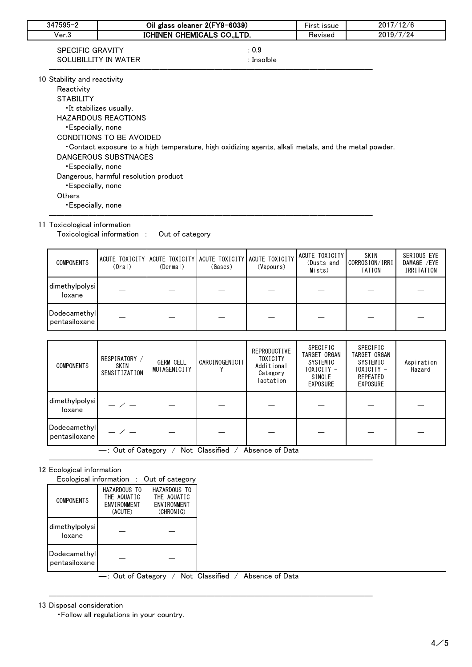| $347595 - 2$                | Oil glass cleaner 2(FY9-6039)          |                                                                                                       | First issue | 2017/12/6 |  |
|-----------------------------|----------------------------------------|-------------------------------------------------------------------------------------------------------|-------------|-----------|--|
| Ver.3                       | ICHINEN CHEMICALS CO., LTD.<br>Revised |                                                                                                       |             | 2019/7/24 |  |
| SPECIFIC GRAVITY            |                                        | : 0.9                                                                                                 |             |           |  |
|                             | SOLUBILLITY IN WATER                   | : Insolble                                                                                            |             |           |  |
| 10 Stability and reactivity |                                        |                                                                                                       |             |           |  |
| Reactivity                  |                                        |                                                                                                       |             |           |  |
| <b>STABILITY</b>            |                                        |                                                                                                       |             |           |  |
|                             | •It stabilizes usually.                |                                                                                                       |             |           |  |
|                             | <b>HAZARDOUS REACTIONS</b>             |                                                                                                       |             |           |  |
| •Especially, none           |                                        |                                                                                                       |             |           |  |
|                             | CONDITIONS TO BE AVOIDED               |                                                                                                       |             |           |  |
|                             |                                        | • Contact exposure to a high temperature, high oxidizing agents, alkali metals, and the metal powder. |             |           |  |
|                             | DANGEROUS SUBSTNACES                   |                                                                                                       |             |           |  |
| <b>Especially, none</b>     |                                        |                                                                                                       |             |           |  |
|                             | Dangerous, harmful resolution product  |                                                                                                       |             |           |  |
| <b>Especially, none</b>     |                                        |                                                                                                       |             |           |  |
| <b>Others</b>               |                                        |                                                                                                       |             |           |  |
| •Especially, none           |                                        |                                                                                                       |             |           |  |

## 11 Toxicological information

Toxicological information : Out of category

| <b>COMPONENTS</b>             | (0ral) | ACUTE TOXICITY ACUTE TOXICITY ACUTE TOXICITY ACUTE TOXICITY<br>(Dermal) | (Gases) | (Vapours) | ACUTE TOXICITY<br>(Dusts and<br>Mists) | SKIN<br>CORROSION/IRRI<br>TATION | SERIOUS EYE<br>DAMAGE /EYE<br>IRRITATION |
|-------------------------------|--------|-------------------------------------------------------------------------|---------|-----------|----------------------------------------|----------------------------------|------------------------------------------|
| dimethylpolysi<br>loxane      |        |                                                                         |         |           |                                        |                                  |                                          |
| Dodecamethyl<br>pentasiloxane |        |                                                                         |         |           |                                        |                                  |                                          |

| <b>COMPONENTS</b>                                       | RESPIRATORY /<br>SKIN<br>SENSITIZATION | <b>GERM CELL</b><br>MUTAGENICITY | <b>CARCINOGENICIT</b> | <b>REPRODUCTIVE</b><br><b>TOXICITY</b><br>Additional<br>Category<br>lactation | SPECIFIC<br>TARGET ORGAN<br>SYSTEMIC<br>TOXICITY -<br>SINGLE<br>EXPOSURE | SPECIFIC<br>TARGET ORGAN<br>SYSTEMIC<br>TOXICITY -<br><b>REPEATED</b><br><b>EXPOSURE</b> | Aspiration<br>Hazard |
|---------------------------------------------------------|----------------------------------------|----------------------------------|-----------------------|-------------------------------------------------------------------------------|--------------------------------------------------------------------------|------------------------------------------------------------------------------------------|----------------------|
| dimethylpolysi<br>loxane                                |                                        |                                  |                       |                                                                               |                                                                          |                                                                                          |                      |
| Dodecamethyl<br>pentasiloxane                           |                                        |                                  |                       |                                                                               |                                                                          |                                                                                          |                      |
| -: Out of Category<br>Not Classified<br>Absence of Data |                                        |                                  |                       |                                                                               |                                                                          |                                                                                          |                      |

## 12 Ecological information

|                                         |                                                              | Ecological information : Out of category                       |  |  |
|-----------------------------------------|--------------------------------------------------------------|----------------------------------------------------------------|--|--|
| <b>COMPONENTS</b>                       | HAZARDOUS TO<br>THE AQUATIC<br><b>FNVIRONMENT</b><br>(ACUTE) | HAZARDOUS TO<br>THE AQUATIC<br><b>FNVIRONMENT</b><br>(CHRONIC) |  |  |
| dimethylpolysi<br>loxane                |                                                              |                                                                |  |  |
| Dodecamethyl<br>pentasiloxane           |                                                              |                                                                |  |  |
| $\cdot$ Out of Category<br>Not Classifi |                                                              |                                                                |  |  |

ut of Category / Not Classified / Absence of Data

―――――――――――――――――――――――――――――――――――――――――

―――――――――――――――――――――――――――――――――――――――――

13 Disposal consideration

・Follow all regulations in your country.